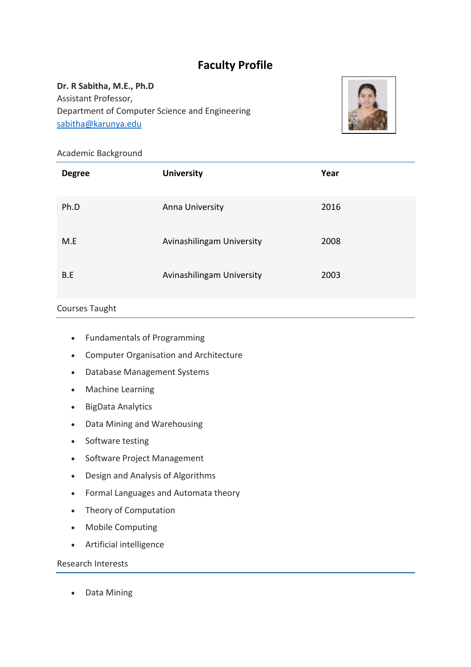# **Faculty Profile**

**Dr. R Sabitha, M.E., Ph.D** Assistant Professor, Department of Computer Science and Engineering [sabitha@karunya.edu](mailto:sabitha@karunya.edu)



## Academic Background

| <b>Degree</b> | <b>University</b>         | Year |
|---------------|---------------------------|------|
| Ph.D          | Anna University           | 2016 |
| M.E           | Avinashilingam University | 2008 |
| B.E           | Avinashilingam University | 2003 |

### Courses Taught

- Fundamentals of Programming
- Computer Organisation and Architecture
- Database Management Systems
- Machine Learning
- BigData Analytics
- Data Mining and Warehousing
- Software testing
- Software Project Management
- Design and Analysis of Algorithms
- Formal Languages and Automata theory
- Theory of Computation
- Mobile Computing
- Artificial intelligence

## Research Interests

Data Mining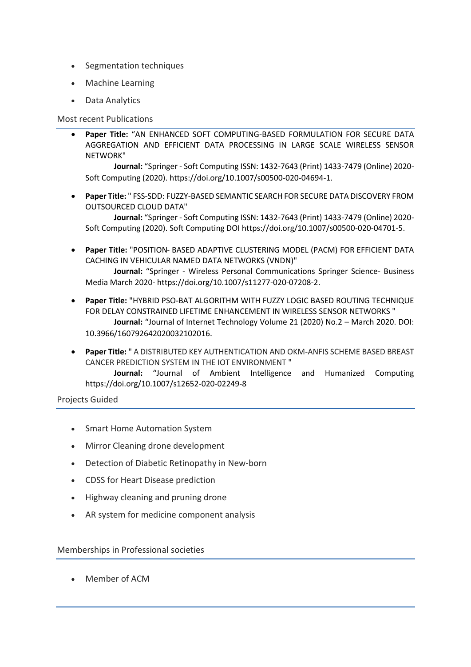- Segmentation techniques
- Machine Learning
- Data Analytics

#### Most recent Publications

 **Paper Title:** "AN ENHANCED SOFT COMPUTING-BASED FORMULATION FOR SECURE DATA AGGREGATION AND EFFICIENT DATA PROCESSING IN LARGE SCALE WIRELESS SENSOR NETWORK"

**Journal:** "Springer - Soft Computing ISSN: 1432-7643 (Print) 1433-7479 (Online) 2020- Soft Computing (2020). https://doi.org/10.1007/s00500-020-04694-1.

 **Paper Title:** " FSS-SDD: FUZZY-BASED SEMANTIC SEARCH FOR SECURE DATA DISCOVERY FROM OUTSOURCED CLOUD DATA"

**Journal:** "Springer - Soft Computing ISSN: 1432-7643 (Print) 1433-7479 (Online) 2020- Soft Computing (2020). Soft Computing DOI https://doi.org/10.1007/s00500-020-04701-5.

 **Paper Title:** "POSITION‑ BASED ADAPTIVE CLUSTERING MODEL (PACM) FOR EFFICIENT DATA CACHING IN VEHICULAR NAMED DATA NETWORKS (VNDN)"

**Journal:** "Springer - Wireless Personal Communications Springer Science- Business Media March 2020- https://doi.org/10.1007/s11277-020-07208-2.

- **Paper Title:** "HYBRID PSO-BAT ALGORITHM WITH FUZZY LOGIC BASED ROUTING TECHNIQUE FOR DELAY CONSTRAINED LIFETIME ENHANCEMENT IN WIRELESS SENSOR NETWORKS " **Journal:** "Journal of Internet Technology Volume 21 (2020) No.2 – March 2020. DOI: 10.3966/160792642020032102016.
- **Paper Title:** " A DISTRIBUTED KEY AUTHENTICATION AND OKM-ANFIS SCHEME BASED BREAST CANCER PREDICTION SYSTEM IN THE IOT ENVIRONMENT "

**Journal:** "Journal of Ambient Intelligence and Humanized Computing https://doi.org/10.1007/s12652-020-02249-8

Projects Guided

- Smart Home Automation System
- Mirror Cleaning drone development
- Detection of Diabetic Retinopathy in New-born
- CDSS for Heart Disease prediction
- Highway cleaning and pruning drone
- AR system for medicine component analysis

#### Memberships in Professional societies

Member of ACM